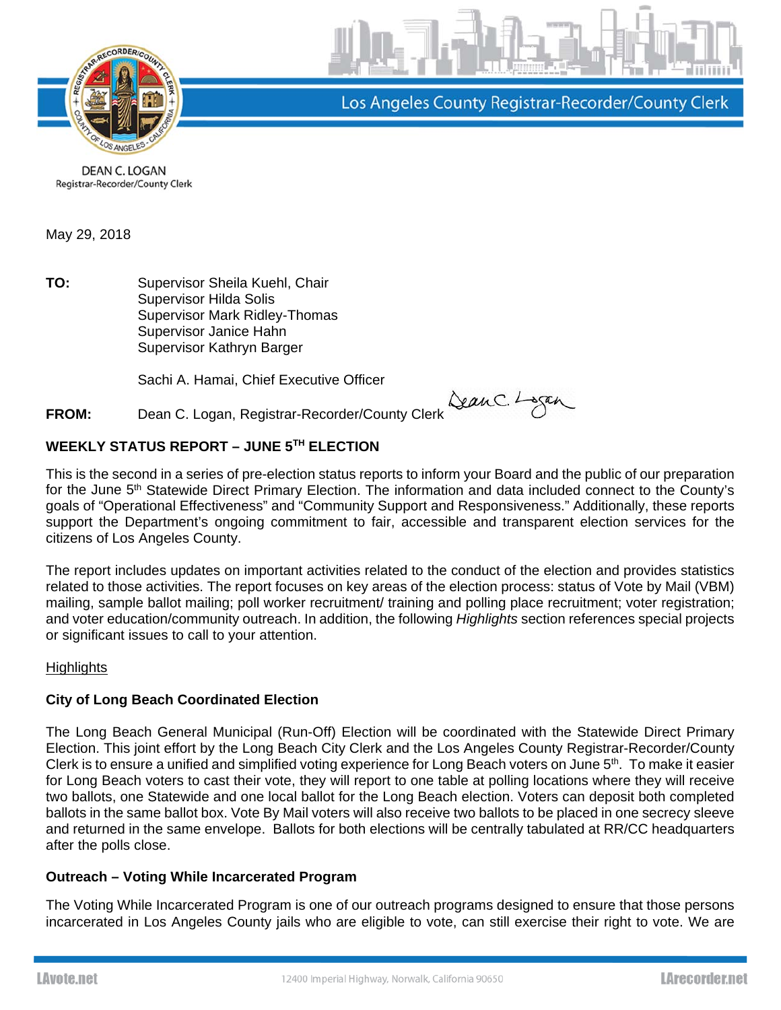

Los Angeles County Registrar-Recorder/County Clerk

DEAN C. LOGAN Registrar-Recorder/County Clerk

May 29, 2018

**TO:** Supervisor Sheila Kuehl, Chair Supervisor Hilda Solis Supervisor Mark Ridley-Thomas Supervisor Janice Hahn Supervisor Kathryn Barger

Sachi A. Hamai, Chief Executive Officer

# **FROM:** Dean C. Logan, Registrar-Recorder/County Clerk San C. Logan

# **WEEKLY STATUS REPORT – JUNE 5TH ELECTION**

This is the second in a series of pre-election status reports to inform your Board and the public of our preparation for the June 5<sup>th</sup> Statewide Direct Primary Election. The information and data included connect to the County's goals of "Operational Effectiveness" and "Community Support and Responsiveness." Additionally, these reports support the Department's ongoing commitment to fair, accessible and transparent election services for the citizens of Los Angeles County.

The report includes updates on important activities related to the conduct of the election and provides statistics related to those activities. The report focuses on key areas of the election process: status of Vote by Mail (VBM) mailing, sample ballot mailing; poll worker recruitment/ training and polling place recruitment; voter registration; and voter education/community outreach. In addition, the following *Highlights* section references special projects or significant issues to call to your attention.

## **Highlights**

## **City of Long Beach Coordinated Election**

The Long Beach General Municipal (Run-Off) Election will be coordinated with the Statewide Direct Primary Election. This joint effort by the Long Beach City Clerk and the Los Angeles County Registrar-Recorder/County Clerk is to ensure a unified and simplified voting experience for Long Beach voters on June 5<sup>th</sup>. To make it easier for Long Beach voters to cast their vote, they will report to one table at polling locations where they will receive two ballots, one Statewide and one local ballot for the Long Beach election. Voters can deposit both completed ballots in the same ballot box. Vote By Mail voters will also receive two ballots to be placed in one secrecy sleeve and returned in the same envelope. Ballots for both elections will be centrally tabulated at RR/CC headquarters after the polls close.

## **Outreach – Voting While Incarcerated Program**

The Voting While Incarcerated Program is one of our outreach programs designed to ensure that those persons incarcerated in Los Angeles County jails who are eligible to vote, can still exercise their right to vote. We are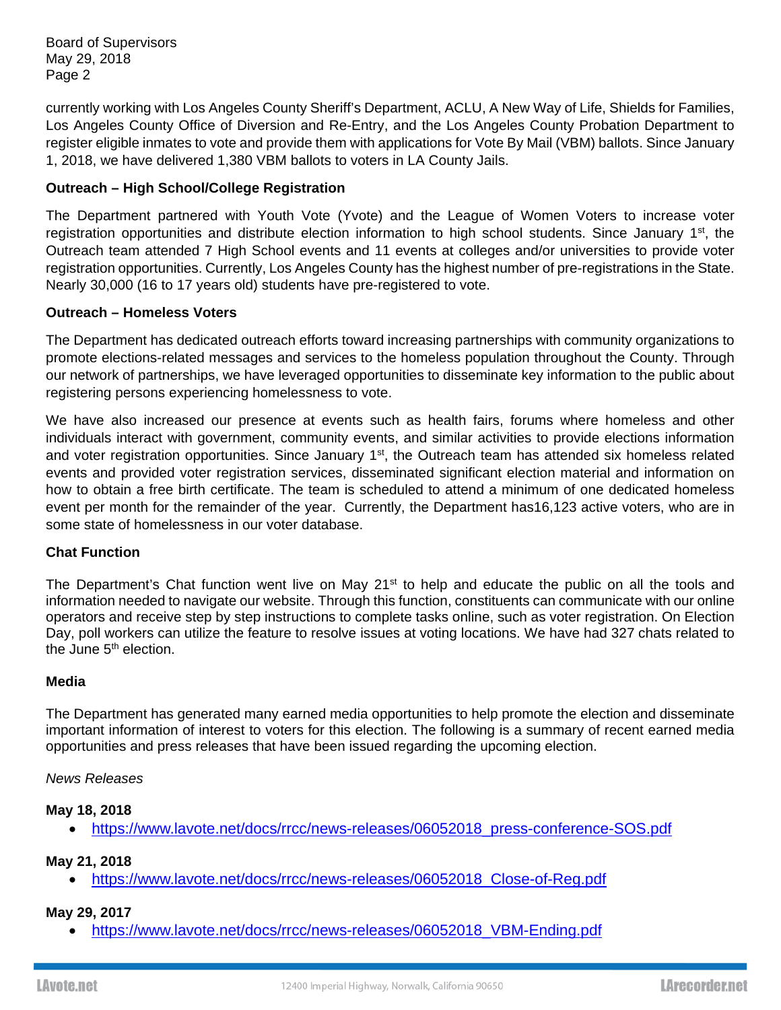Board of Supervisors May 29, 2018 Page 2

currently working with Los Angeles County Sheriff's Department, ACLU, A New Way of Life, Shields for Families, Los Angeles County Office of Diversion and Re-Entry, and the Los Angeles County Probation Department to register eligible inmates to vote and provide them with applications for Vote By Mail (VBM) ballots. Since January 1, 2018, we have delivered 1,380 VBM ballots to voters in LA County Jails.

# **Outreach – High School/College Registration**

The Department partnered with Youth Vote (Yvote) and the League of Women Voters to increase voter registration opportunities and distribute election information to high school students. Since January 1<sup>st</sup>, the Outreach team attended 7 High School events and 11 events at colleges and/or universities to provide voter registration opportunities. Currently, Los Angeles County has the highest number of pre-registrations in the State. Nearly 30,000 (16 to 17 years old) students have pre-registered to vote.

## **Outreach – Homeless Voters**

The Department has dedicated outreach efforts toward increasing partnerships with community organizations to promote elections-related messages and services to the homeless population throughout the County. Through our network of partnerships, we have leveraged opportunities to disseminate key information to the public about registering persons experiencing homelessness to vote.

We have also increased our presence at events such as health fairs, forums where homeless and other individuals interact with government, community events, and similar activities to provide elections information and voter registration opportunities. Since January 1<sup>st</sup>, the Outreach team has attended six homeless related events and provided voter registration services, disseminated significant election material and information on how to obtain a free birth certificate. The team is scheduled to attend a minimum of one dedicated homeless event per month for the remainder of the year. Currently, the Department has16,123 active voters, who are in some state of homelessness in our voter database.

## **Chat Function**

The Department's Chat function went live on May  $21<sup>st</sup>$  to help and educate the public on all the tools and information needed to navigate our website. Through this function, constituents can communicate with our online operators and receive step by step instructions to complete tasks online, such as voter registration. On Election Day, poll workers can utilize the feature to resolve issues at voting locations. We have had 327 chats related to the June 5<sup>th</sup> election.

#### **Media**

The Department has generated many earned media opportunities to help promote the election and disseminate important information of interest to voters for this election. The following is a summary of recent earned media opportunities and press releases that have been issued regarding the upcoming election.

#### *News Releases*

## **May 18, 2018**

• https://www.lavote.net/docs/rrcc/news-releases/06052018\_press-conference-SOS.pdf

## **May 21, 2018**

• https://www.lavote.net/docs/rrcc/news-releases/06052018 Close-of-Reg.pdf

## **May 29, 2017**

• https://www.lavote.net/docs/rrcc/news-releases/06052018\_VBM-Ending.pdf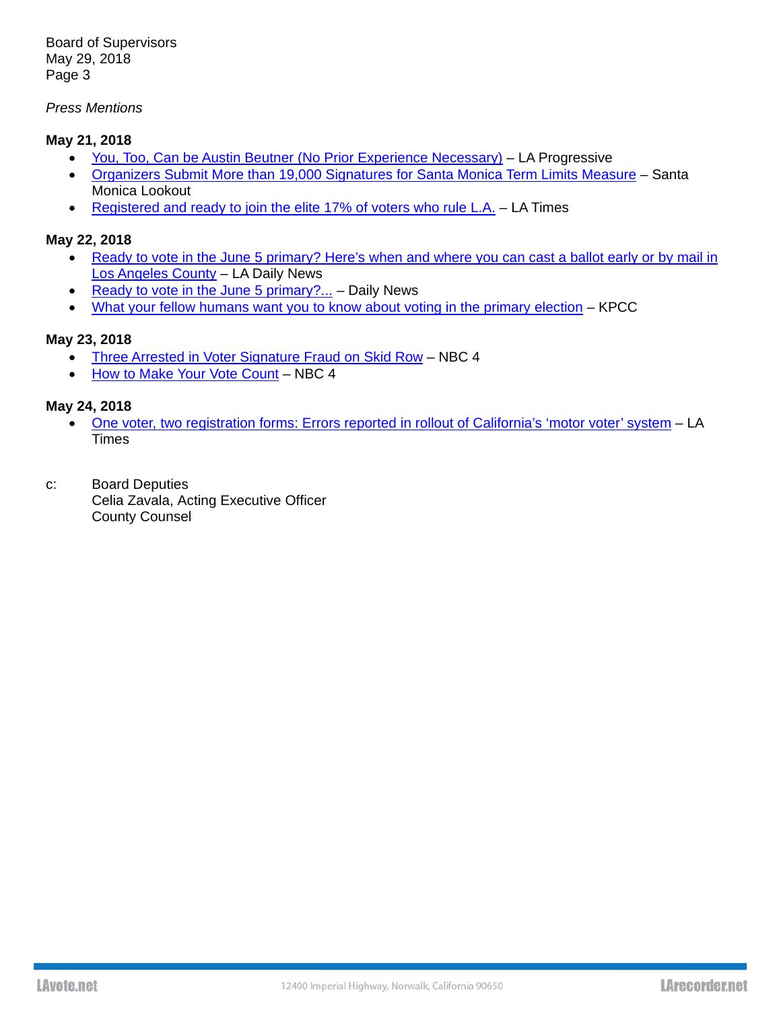Board of Supervisors May 29, 2018 Page 3

## *Press Mentions*

## **May 21, 2018**

- You, Too, Can be Austin Beutner (No Prior Experience Necessary) LA Progressive
- Organizers Submit More than 19,000 Signatures for Santa Monica Term Limits Measure Santa Monica Lookout
- Registered and ready to join the elite 17% of voters who rule L.A. LA Times

#### **May 22, 2018**

- Ready to vote in the June 5 primary? Here's when and where you can cast a ballot early or by mail in Los Angeles County – LA Daily News
- Ready to vote in the June 5 primary?... Daily News
- What your fellow humans want you to know about voting in the primary election KPCC

## **May 23, 2018**

- Three Arrested in Voter Signature Fraud on Skid Row NBC 4
- How to Make Your Vote Count NBC 4

#### **May 24, 2018**

- One voter, two registration forms: Errors reported in rollout of California's 'motor voter' system LA **Times**
- c: Board Deputies Celia Zavala, Acting Executive Officer County Counsel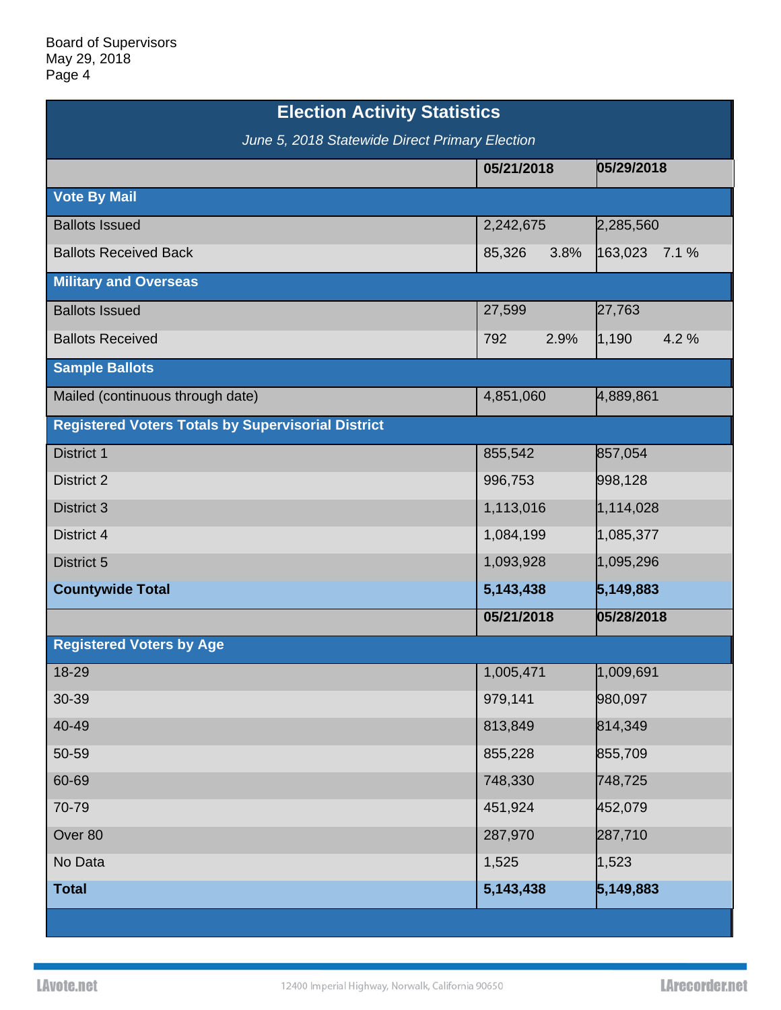| <b>Election Activity Statistics</b>                       |                |                 |  |
|-----------------------------------------------------------|----------------|-----------------|--|
| June 5, 2018 Statewide Direct Primary Election            |                |                 |  |
|                                                           | 05/21/2018     | 05/29/2018      |  |
| <b>Vote By Mail</b>                                       |                |                 |  |
| <b>Ballots Issued</b>                                     | 2,242,675      | 2,285,560       |  |
| <b>Ballots Received Back</b>                              | 85,326<br>3.8% | 163,023<br>7.1% |  |
| <b>Military and Overseas</b>                              |                |                 |  |
| <b>Ballots Issued</b>                                     | 27,599         | 27,763          |  |
| <b>Ballots Received</b>                                   | 2.9%<br>792    | 4.2%<br>1,190   |  |
| <b>Sample Ballots</b>                                     |                |                 |  |
| Mailed (continuous through date)                          | 4,851,060      | 4,889,861       |  |
| <b>Registered Voters Totals by Supervisorial District</b> |                |                 |  |
| District 1                                                | 855,542        | 857,054         |  |
| <b>District 2</b>                                         | 996,753        | 998,128         |  |
| District 3                                                | 1,113,016      | 1,114,028       |  |
| District 4                                                | 1,084,199      | 1,085,377       |  |
| District 5                                                | 1,093,928      | 1,095,296       |  |
| <b>Countywide Total</b>                                   | 5,143,438      | 5,149,883       |  |
|                                                           | 05/21/2018     | 05/28/2018      |  |
| <b>Registered Voters by Age</b>                           |                |                 |  |
| 18-29                                                     | 1,005,471      | 1,009,691       |  |
| 30-39                                                     | 979,141        | 980,097         |  |
| 40-49                                                     | 813,849        | 814,349         |  |
| 50-59                                                     | 855,228        | 855,709         |  |
| 60-69                                                     | 748,330        | 748,725         |  |
| 70-79                                                     | 451,924        | 452,079         |  |
| Over 80                                                   | 287,970        | 287,710         |  |
| No Data                                                   | 1,525          | 1,523           |  |
| <b>Total</b>                                              | 5,143,438      | 5,149,883       |  |
|                                                           |                |                 |  |